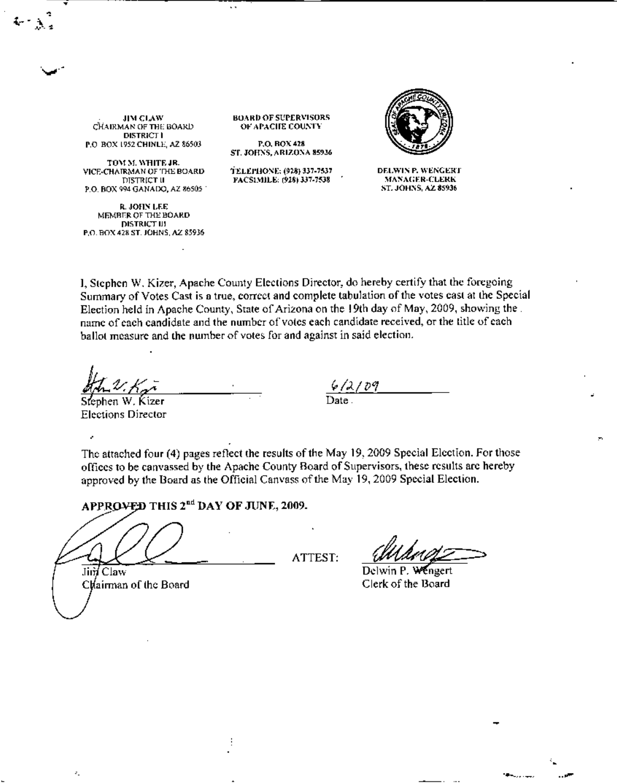**JIM CLAW** CHAIRMAN OF THE BOARD **DISTRICT I** P.O. BOX 1952 CHINLE, AZ 86503

TOM M. WHITE JR. VICE-CHAIRMAN OF THE BOARD DISTRICT II P.O. BOX 994 GANADO, AZ 86505

**R. JOHN LEE** MEMBER OF THE BOARD **DISTRICT III** P.O. BOX 428 ST. JOHNS, AZ 85936 **BOARD OF SUPERVISORS** OF APACIJE COUNTY

 $\ddot{\phantom{0}}$ 

P.O. BOX 428 ST. JOHNS, ARIZONA 85936

TELEPHONE: (928) 337-7537 FACSIMILE: (928) 337-7538



DELWIN P. WENGERT **MANAGER-CLERK** ST. JOHNS, AZ 85936

I. Stephen W. Kizer, Apache County Elections Director, do hereby certify that the foregoing Summary of Votes Cast is a true, correct and complete tabulation of the votes cast at the Special Election held in Apache County, State of Arizona on the 19th day of May, 2009, showing the. name of each candidate and the number of votes each candidate received, or the title of each ballot measure and the number of votes for and against in said election.

Stephen W. Kizer **Elections Director** 

J.

k,

 $\frac{6}{2}$  pq<br>Date

The attached four (4) pages reflect the results of the May 19, 2009 Special Election. For those offices to be canvassed by the Apache County Board of Supervisors, these results are hereby approved by the Board as the Official Canvass of the May 19, 2009 Special Election.

APPROVED THIS 2<sup>nd</sup> DAY OF JUNE, 2009.

÷

Jin Claw Clairman of the Board ATTEST:

Wengert Delwin P. Clerk of the Board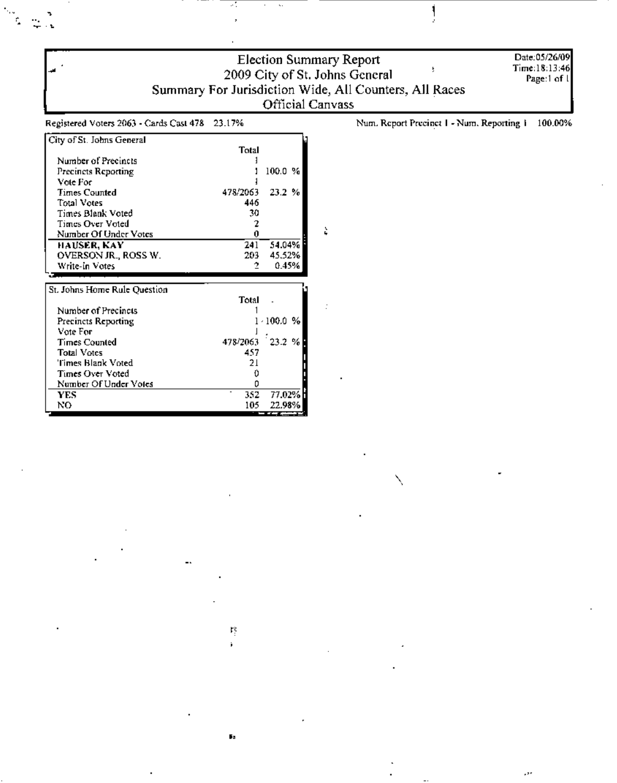|                                                  |          | Official Canvass | <b>Election Summary Report</b><br>2009 City of St. Johns General<br>Summary For Jurisdiction Wide, All Counters, All Races | Date:05/26/09<br>Time:18:13:46<br>Page:1 of 1 |
|--------------------------------------------------|----------|------------------|----------------------------------------------------------------------------------------------------------------------------|-----------------------------------------------|
| Registered Voters 2063 - Cards Cast 478 23.17%   |          |                  | Num. Report Precinct 1 - Num. Reporting 1                                                                                  | 100.00%                                       |
| City of St. Johns General<br>Number of Precincts | Total    |                  |                                                                                                                            |                                               |
| <b>Precincts Reporting</b>                       |          | 100.0 %          |                                                                                                                            |                                               |
| Vote For                                         |          |                  |                                                                                                                            |                                               |
| <b>Times Counted</b>                             | 478/2063 | 23.2 %           |                                                                                                                            |                                               |
| <b>Total Votes</b>                               | 446      |                  |                                                                                                                            |                                               |
| Times Blank Voted                                | 30       |                  |                                                                                                                            |                                               |
| <b>Times Over Voted</b>                          | 2        |                  |                                                                                                                            |                                               |
| Number Of Under Votes                            | 0        |                  | è                                                                                                                          |                                               |
| HAUSER, KAY                                      | 241      | 54.04%           |                                                                                                                            |                                               |
| OVERSON JR., ROSS W.                             | 203      | 45.52%           |                                                                                                                            |                                               |
| Write-in Votes                                   | 2        | 0.45%            |                                                                                                                            |                                               |
| St. Johns Home Rule Question                     |          |                  |                                                                                                                            |                                               |
|                                                  | Total    |                  |                                                                                                                            |                                               |
| Number of Precincts                              |          |                  |                                                                                                                            |                                               |
| Precincts Reporting                              |          | $1 - 100.0 %$    |                                                                                                                            |                                               |
| Vote For                                         |          |                  |                                                                                                                            |                                               |
| <b>Times Counted</b>                             | 478/2063 | 23.2%            |                                                                                                                            |                                               |
| <b>Total Votes</b>                               | 457      |                  |                                                                                                                            |                                               |
| Times Blank Voted                                | 21       |                  |                                                                                                                            |                                               |
| Times Over Voted                                 | 0        |                  |                                                                                                                            |                                               |
| Number Of Under Votes                            | 0        |                  |                                                                                                                            |                                               |
| <b>YES</b>                                       | 352      | 77.02%           |                                                                                                                            |                                               |
| NO.                                              | 105      | 22.98%           |                                                                                                                            |                                               |

ļ

,,,

 $\frac{\partial \phi}{\partial x} = \frac{\partial \phi}{\partial x}$ 

 $\frac{\Gamma^2_1}{\Gamma_1}$ 

 $\mathbf{F}_\mathbf{S}$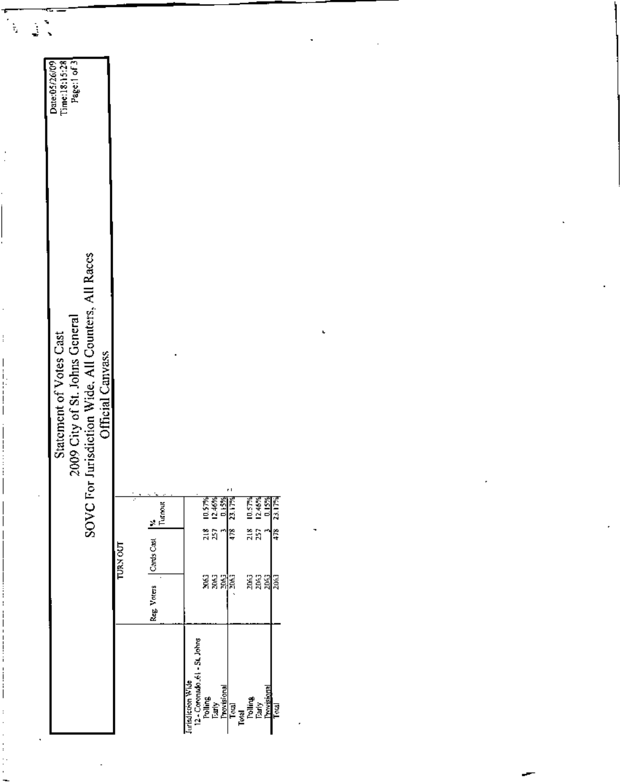| ٦<br>$\frac{1}{2}$<br>$\tilde{\tau}_i$                                                                                                                                                                                                                                                                                                                | $\ddot{\phantom{0}}$                                                                                                                 |                                               |                |                                                                                                                                                     |       |                                                    |     |   | ٠ |  |  |   |  |
|-------------------------------------------------------------------------------------------------------------------------------------------------------------------------------------------------------------------------------------------------------------------------------------------------------------------------------------------------------|--------------------------------------------------------------------------------------------------------------------------------------|-----------------------------------------------|----------------|-----------------------------------------------------------------------------------------------------------------------------------------------------|-------|----------------------------------------------------|-----|---|---|--|--|---|--|
| $\frac{1}{2}$                                                                                                                                                                                                                                                                                                                                         | Page:1 of 3<br>Time:18:15:28<br>Date:05/26/09                                                                                        |                                               |                |                                                                                                                                                     |       |                                                    |     |   |   |  |  |   |  |
| $\cdot$<br>$\vdots$<br>$\begin{bmatrix} 1 & 0 & 0 \\ 0 & 1 & 0 \\ 0 & 0 & 0 \\ 0 & 0 & 0 \\ 0 & 0 & 0 \\ 0 & 0 & 0 \\ 0 & 0 & 0 & 0 \\ 0 & 0 & 0 & 0 \\ 0 & 0 & 0 & 0 \\ 0 & 0 & 0 & 0 \\ 0 & 0 & 0 & 0 & 0 \\ 0 & 0 & 0 & 0 & 0 \\ 0 & 0 & 0 & 0 & 0 \\ 0 & 0 & 0 & 0 & 0 & 0 \\ 0 & 0 & 0 & 0 & 0 & 0 \\ 0 & 0 & 0 & 0 & 0 & 0 \\ 0 & 0 & 0 & 0 & $ | 2009 City of St. Johns General<br>SOVC For Jurisdiction Wide, All Counters, All Races<br>Statement of Votes Cast<br>Official Canvass |                                               | $\blacksquare$ |                                                                                                                                                     | r I   |                                                    |     |   | ł |  |  | ٠ |  |
| $\cdot$                                                                                                                                                                                                                                                                                                                                               |                                                                                                                                      | y.<br>Turmut<br>Cards Cast<br><b>TURN OUT</b> |                | $1.178$<br>$1.46%$<br>$1.178$<br>$1.178$<br>្ត្រ<br>ក្នុង                                                                                           | ๅี่≈ื | 1973<br>19463<br>1945<br>1941<br>$\frac{218}{257}$ | 478 |   |   |  |  |   |  |
|                                                                                                                                                                                                                                                                                                                                                       |                                                                                                                                      | Reg. Voters                                   | 7              | ទីទីឡុំ<br>ទីទីឡុំ                                                                                                                                  |       | a a ala                                            |     |   |   |  |  |   |  |
| $\ddot{\phantom{a}}$                                                                                                                                                                                                                                                                                                                                  |                                                                                                                                      |                                               |                | Jurisdiction Wide<br>12 - Covensdo 51 - St. Johns<br>Polling<br>Tarly<br>Trous<br>Toul<br>Toul<br>Toul<br>Provisional<br>Provisional<br>Provisional |       |                                                    |     | , |   |  |  |   |  |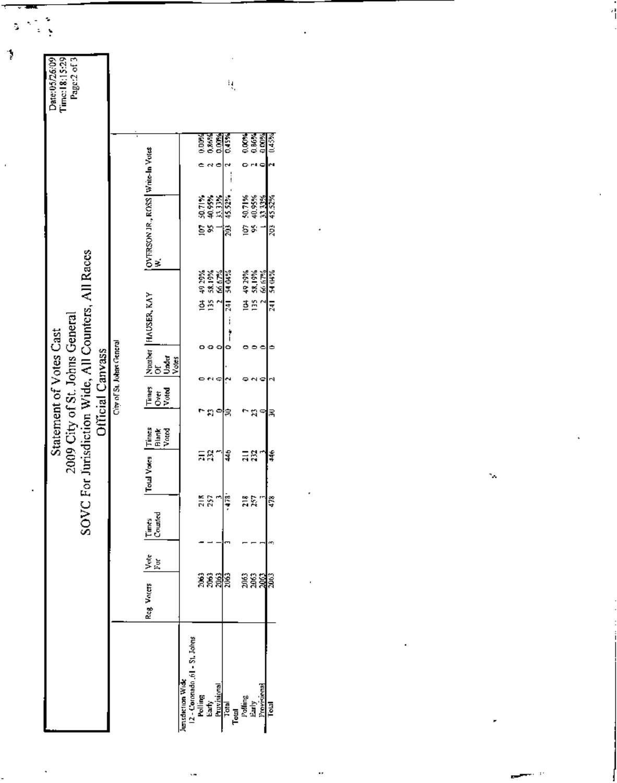| <b>ESPE</b><br>ESPE<br>0.00%<br>0.00%<br>0.00%<br>0.00%<br>OVERSON JR., ROSS   Write-In Votes<br>  W.<br>ಇ⊂<br>30.71%<br>40.95%<br>31.33%<br>50.71%<br>40.95%<br>33.33%<br>$\frac{1}{45.5}$<br>es.<br>gs.<br>វិនិ<br>2009 City of St. Johns General<br>SOVC For Jurisdiction Wide, All Counters, All Races<br>58.19%<br>49.29%<br>49 29%<br>58,19%<br>240 Pc<br>66 67%<br>Number HAUSER, KAY<br>Of<br>ğ<br>135<br>.<br>ថ្ម ក្ន<br>큟<br>i<br>Statement of Votes Cast<br>City of St. Johns General<br>ō<br>۰<br>Official Canvass<br>Under<br>Votes<br>Times<br>Over<br>Voted<br>۰<br>n<br>k<br>ង<br>Times<br><b>Blank</b><br>Voted<br>ΞŘ<br>$\frac{4}{3}$<br>ដូដូ<br>Total Votes<br>≌ 않 ⊔ <mark>슬</mark><br>ដឹង<br>Times<br>Counted<br>Vote<br>For<br>ន្តនូឡន្ត<br>ទទទទទ<br>គីគីឡូគី<br>Reg Voters<br>2 - Cormado .61 - St. Johns |                    |     |  | ų, |  |  |  |  | Page:2 of 3 | Time: 18:15:29<br>Date: 05/26/09 |  |
|---------------------------------------------------------------------------------------------------------------------------------------------------------------------------------------------------------------------------------------------------------------------------------------------------------------------------------------------------------------------------------------------------------------------------------------------------------------------------------------------------------------------------------------------------------------------------------------------------------------------------------------------------------------------------------------------------------------------------------------------------------------------------------------------------------------------------------|--------------------|-----|--|----|--|--|--|--|-------------|----------------------------------|--|
|                                                                                                                                                                                                                                                                                                                                                                                                                                                                                                                                                                                                                                                                                                                                                                                                                                 | (1.45%             |     |  |    |  |  |  |  |             |                                  |  |
|                                                                                                                                                                                                                                                                                                                                                                                                                                                                                                                                                                                                                                                                                                                                                                                                                                 |                    |     |  |    |  |  |  |  |             |                                  |  |
|                                                                                                                                                                                                                                                                                                                                                                                                                                                                                                                                                                                                                                                                                                                                                                                                                                 | 203 45.52%         |     |  |    |  |  |  |  |             |                                  |  |
|                                                                                                                                                                                                                                                                                                                                                                                                                                                                                                                                                                                                                                                                                                                                                                                                                                 |                    |     |  |    |  |  |  |  |             |                                  |  |
|                                                                                                                                                                                                                                                                                                                                                                                                                                                                                                                                                                                                                                                                                                                                                                                                                                 | <b>S4 04%</b><br>元 | 医后尾 |  |    |  |  |  |  |             |                                  |  |
|                                                                                                                                                                                                                                                                                                                                                                                                                                                                                                                                                                                                                                                                                                                                                                                                                                 |                    |     |  |    |  |  |  |  |             |                                  |  |
|                                                                                                                                                                                                                                                                                                                                                                                                                                                                                                                                                                                                                                                                                                                                                                                                                                 |                    |     |  |    |  |  |  |  |             |                                  |  |
|                                                                                                                                                                                                                                                                                                                                                                                                                                                                                                                                                                                                                                                                                                                                                                                                                                 | 尾                  |     |  |    |  |  |  |  |             |                                  |  |
|                                                                                                                                                                                                                                                                                                                                                                                                                                                                                                                                                                                                                                                                                                                                                                                                                                 | ¥                  |     |  |    |  |  |  |  |             |                                  |  |
|                                                                                                                                                                                                                                                                                                                                                                                                                                                                                                                                                                                                                                                                                                                                                                                                                                 |                    |     |  |    |  |  |  |  |             |                                  |  |
|                                                                                                                                                                                                                                                                                                                                                                                                                                                                                                                                                                                                                                                                                                                                                                                                                                 | 478                |     |  |    |  |  |  |  |             |                                  |  |
|                                                                                                                                                                                                                                                                                                                                                                                                                                                                                                                                                                                                                                                                                                                                                                                                                                 |                    |     |  |    |  |  |  |  |             |                                  |  |
|                                                                                                                                                                                                                                                                                                                                                                                                                                                                                                                                                                                                                                                                                                                                                                                                                                 |                    |     |  |    |  |  |  |  |             |                                  |  |
|                                                                                                                                                                                                                                                                                                                                                                                                                                                                                                                                                                                                                                                                                                                                                                                                                                 |                    |     |  |    |  |  |  |  |             |                                  |  |
| lunsdiction Wide<br>Polling<br>Early<br>Previsional<br>Total Barly<br>Liarly Early<br>Polar Previsional                                                                                                                                                                                                                                                                                                                                                                                                                                                                                                                                                                                                                                                                                                                         |                    |     |  |    |  |  |  |  |             |                                  |  |

Ŷ.

 $\hat{\mathcal{A}}$ 

٠,

 $\ddot{\phantom{0}}$